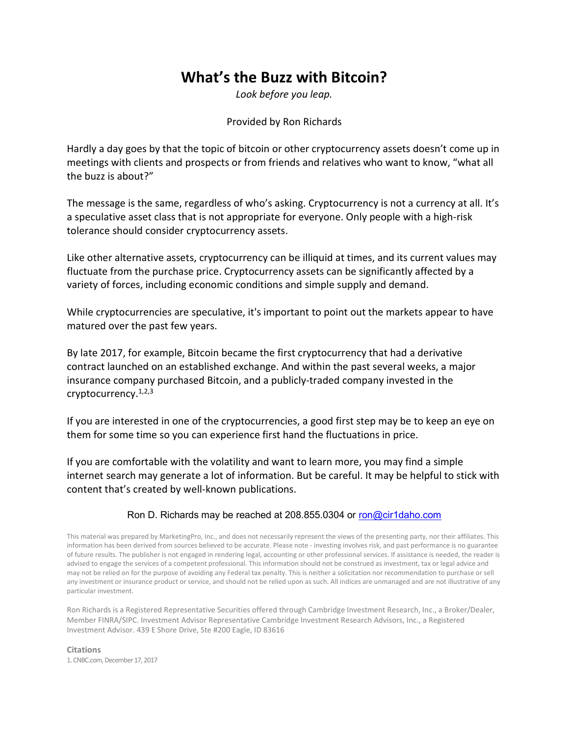## What's the Buzz with Bitcoin?

Look before you leap.

Provided by Ron Richards

Hardly a day goes by that the topic of bitcoin or other cryptocurrency assets doesn't come up in meetings with clients and prospects or from friends and relatives who want to know, "what all the buzz is about?"

The message is the same, regardless of who's asking. Cryptocurrency is not a currency at all. It's a speculative asset class that is not appropriate for everyone. Only people with a high-risk tolerance should consider cryptocurrency assets.

Like other alternative assets, cryptocurrency can be illiquid at times, and its current values may fluctuate from the purchase price. Cryptocurrency assets can be significantly affected by a variety of forces, including economic conditions and simple supply and demand.

While cryptocurrencies are speculative, it's important to point out the markets appear to have matured over the past few years.

By late 2017, for example, Bitcoin became the first cryptocurrency that had a derivative contract launched on an established exchange. And within the past several weeks, a major insurance company purchased Bitcoin, and a publicly-traded company invested in the cryptocurrency.1,2,3

If you are interested in one of the cryptocurrencies, a good first step may be to keep an eye on them for some time so you can experience first hand the fluctuations in price.

If you are comfortable with the volatility and want to learn more, you may find a simple internet search may generate a lot of information. But be careful. It may be helpful to stick with content that's created by well-known publications.

## Ron D. Richards may be reached at 208.855.0304 or ron@cir1daho.com

This material was prepared by MarketingPro, Inc., and does not necessarily represent the views of the presenting party, nor their affiliates. This information has been derived from sources believed to be accurate. Please note - investing involves risk, and past performance is no guarantee of future results. The publisher is not engaged in rendering legal, accounting or other professional services. If assistance is needed, the reader is advised to engage the services of a competent professional. This information should not be construed as investment, tax or legal advice and may not be relied on for the purpose of avoiding any Federal tax penalty. This is neither a solicitation nor recommendation to purchase or sell any investment or insurance product or service, and should not be relied upon as such. All indices are unmanaged and are not illustrative of any particular investment.

Ron Richards is a Registered Representative Securities offered through Cambridge Investment Research, Inc., a Broker/Dealer, Member FINRA/SIPC. Investment Advisor Representative Cambridge Investment Research Advisors, Inc., a Registered Investment Advisor. 439 E Shore Drive, Ste #200 Eagle, ID 83616

Citations 1. CNBC.com, December 17, 2017